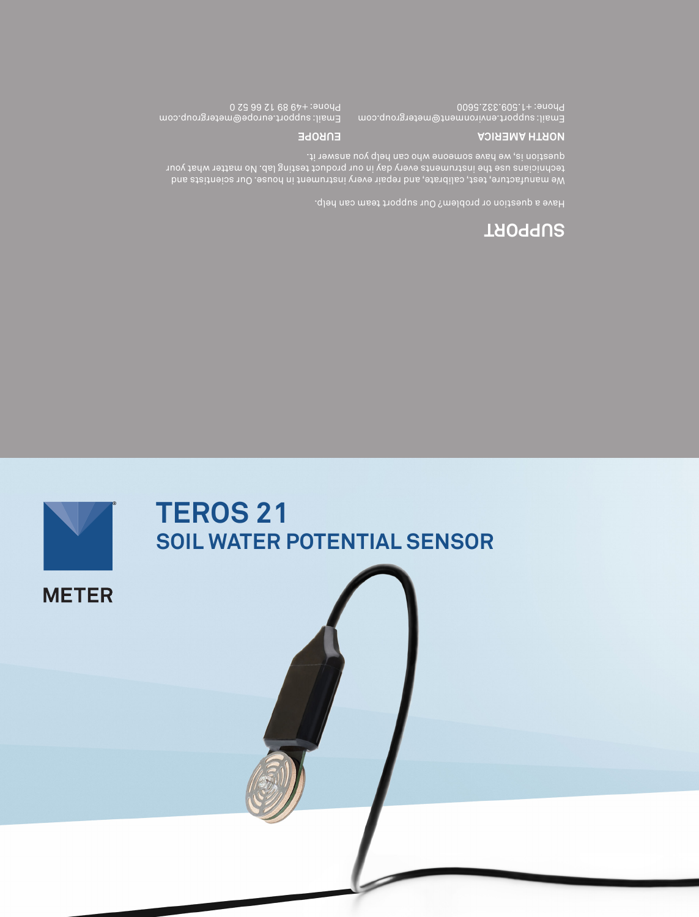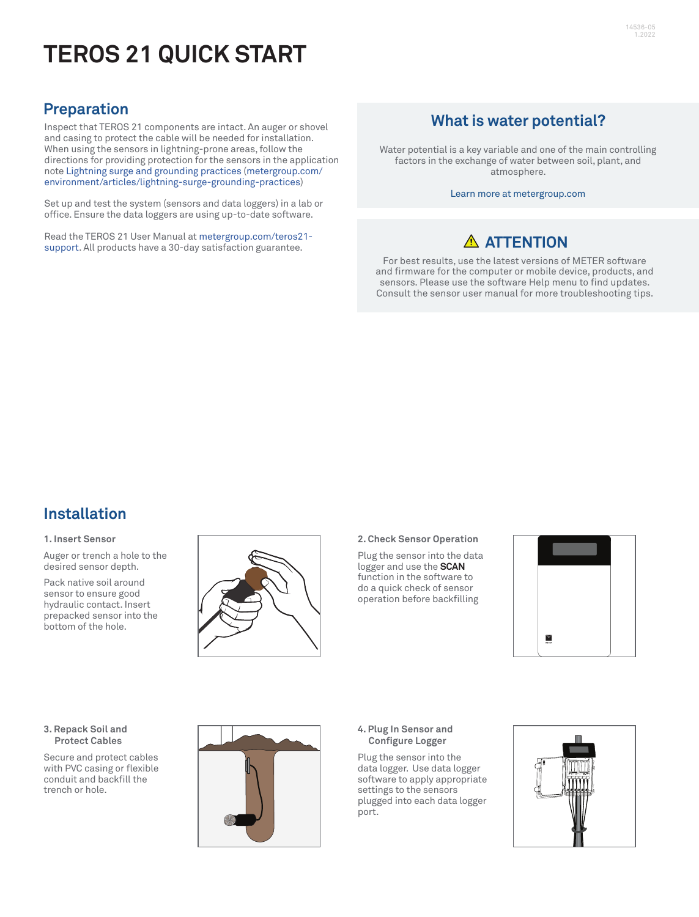# **TEROS 21 QUICK START**

## **Preparation**

Inspect that TEROS 21 components are intact. An auger or shovel and casing to protect the cable will be needed for installation. When using the sensors in lightning-prone areas, follow the directions for providing protection for the sensors in the application note [Lightning surge and grounding practices](https://www.metergroup.com/environment/articles/lightning-surge-grounding-practices) [\(metergroup.com/](https://www.metergroup.com/environment/articles/lightning-surge-grounding-practices/) [environment/articles/lightning-surge-grounding-practices\)](https://www.metergroup.com/environment/articles/lightning-surge-grounding-practices/)

Set up and test the system (sensors and data loggers) in a lab or office. Ensure the data loggers are using up-to-date software.

Read the TEROS 21 User Manual at [metergroup.com/teros21](https://www.metergroup.com/teros21-support) [support](https://www.metergroup.com/teros21-support). All products have a 30-day satisfaction guarantee.

## **What is water potential?**

Water potential is a key variable and one of the main controlling factors in the exchange of water between soil, plant, and atmosphere.

Learn more at metergroup.com

# **ATTENTION**

For best results, use the latest versions of METER software and firmware for the computer or mobile device, products, and sensors. Please use the software Help menu to find updates. Consult the sensor user manual for more troubleshooting tips.

### **Installation**

#### **1. Insert Sensor**

Auger or trench a hole to the desired sensor depth.

Pack native soil around sensor to ensure good hydraulic contact. Insert prepacked sensor into the bottom of the hole.



#### **2. Check Sensor Operation**

Plug the sensor into the data logger and use the **SCAN** function in the software to do a quick check of sensor operation before backfilling



#### **3. Repack Soil and Protect Cables**

Secure and protect cables with PVC casing or flexible conduit and backfill the trench or hole.



### **4. Plug In Sensor and Configure Logger**

Plug the sensor into the data logger. Use data logger software to apply appropriate settings to the sensors plugged into each data logger port.